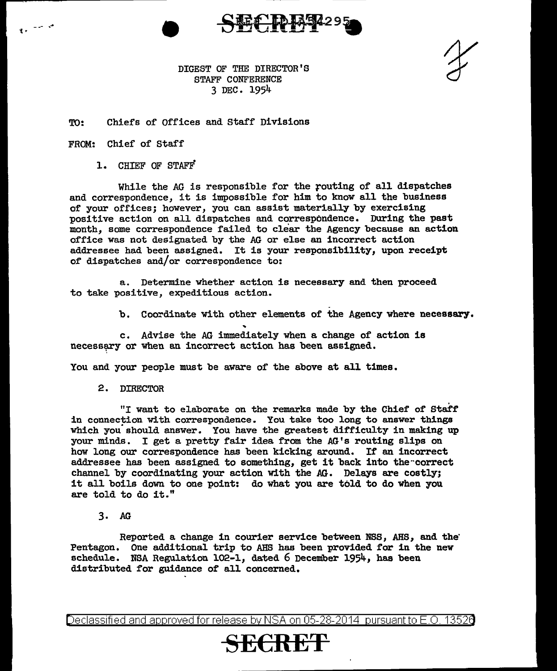

DIGEST OF THE DIRECTOR'S STAFF CONFERENCE 3 DEC. 1954

TO: Chiefs of Offices and staff Divisions

FROM: Chief of Staff

1 •

l. CHIEF OF STAFF

While the *AG* is responsible for the routing of all dispatches and correspondence, it is impossible for him to know all the business of your offices; however, you can assist materially by exercising positive action on all dispatches and correspondence. During the past month, some correspondence failed to clear the Agency because an action office was not designated by the AG or else an incorrect action addressee had been assigned. It is your responsibility, upon receipt of dispatches and/or correspondence to:

a. Determine whether action is necessary and then proceed to take positive, expeditious action.

b. Coordinate with other elements of the Agency where necessary.

c. Advise the AG immediately when a change of action is necessary or when an incorrect action has been assigned.

You and your people must be aware of the above at all times.

2. DIRECTOR

"I want to elaborate on the remarks made by the Chief of Staff in connection with correspondence. You take too long to answer things which you should answer. You have the greatest difficulty in making up your minds. I get a pretty fair idea from the AG's routing slips on how long our correspondence has been kicking around. If an incorrect addressee has been assigned to something, get it back into the··correct channel by coordinating your action with the AG. Delays are costly; it all boils down to one point: do what you are told to do when you are told to do it."

3. AG

Reported a change in courier service between NBS, AHS, and the' Pentagon. One additional trip to AHS has been provided for in the new schedule. NSA Regulation  $102-1$ , dated 6 December 1954, has been distributed for guidance of all concerned.

Declassified and approved for release by NSA on 05-28-2014 pursuantto E.O. 1352a